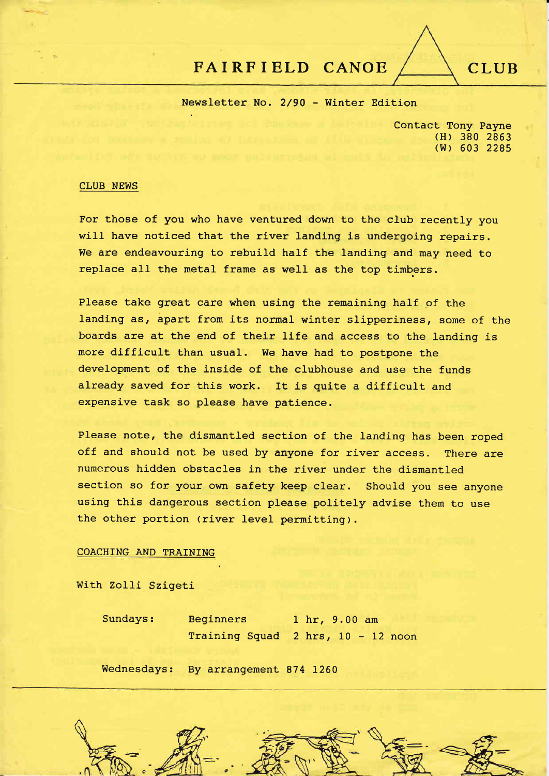# FAIRFIELD CANOE / CLUB

Newsletter No. 2/90 - Winter Edition

Contact Tony Payne (H) 380 <sup>2863</sup> (w) 603 <sup>2285</sup>

### CLUB NEWS

For those of you who have ventured down to the club recently you will have noticed that the river landing is undergoing repairs. We are endeavouring to rebuild half the landing and may need to replace all the metal frame as well as the top timbers.

Please take great care when using the remaining half of the landing as, apart from its normal winter slipperiness, some of the boards are at the end of their life and access to the landing is more difficult than usual. We have had to postpone the development of the inside of the clubhouse and use the funds already saved for this work. It is quite a difficult and expensive task so please have patience.

Please note, the dismantled section of the landing has been roped off and should not be used by anyone for river access. There are numerous hidden obstacles in the river under the dismantled section so for your own safety keep cIear. should you see anyone using this dangerous section please politely advise them to use the other portion (river level permitting).

### COACHING AND TRATNING

With Zolli Szigeti

Sundays: Beginners I hr, 9.00 am Training Squad  $2$  hrs,  $10 - 12$  noon

Wednesdays: By arrangement 874 L260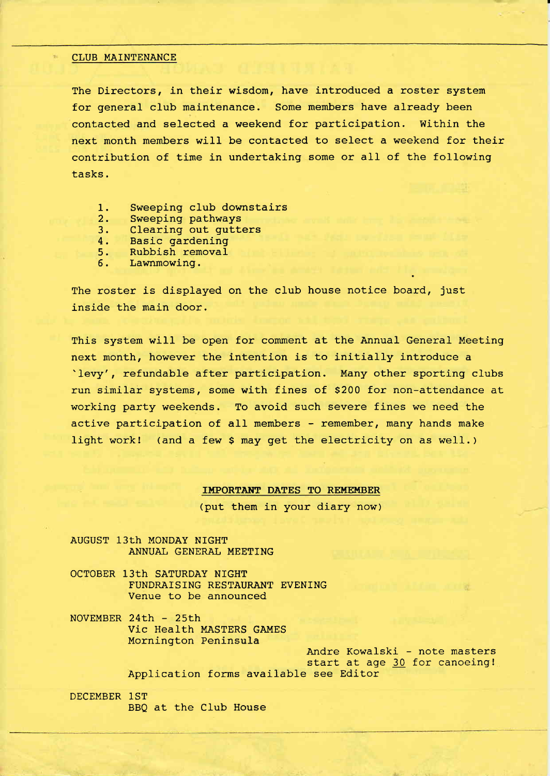#### CLUB MAINTENANCE

The Directors, in their wisdom, have introduced a roster system for general club maintenance. Some members have already been contacted and selected a weekend for participation. Within the next month members will be contacted to select a weekend for their contribution of time in undertaking some or all of the following tasks.

- 1. Sweeping club downstairs<br>2. Sweeping pathways
- 2. Sweeping pathways<br>3. Clearing out qutte
- 3. Clearing out gutters<br>4. Basic gardening
- 
- 4. Basic gardening<br>5. Rubbish removal 5. Rubbish removal<br>6. Lawnmowing.
- Lawnmowing.

The roster is displayed on the club house notice board, just inside the main door.

This system will be open for comment at the Annual General Meeting next month, however the intention is to initially introduce <sup>a</sup> 'levy', refundable after participation. Many other sporting clubs run similar systems, some with fines of 5200 for non-attendance at working party weekends. To avoid such severe fines we need the active participation of all members - remember, many hands make light work! (and a few S may get the electricity on as well. )

IMPORTANT DATES TO REMEMBER

(put them in your diary now)

AUGUST 13th MONDAY NIGHT ANNUAI GENERAL MEETING

OCTOBER 13th SATURDAY NIGHT FUNDRAISING RESTAURANT EVENING Venue to be announced

NOVEMBER 24Eh - 25th Vic Health MASTERS GAMES Mornington Peninsula

Andre Kowalski - note masters start at age 30 for canoeing! Application forms available see Editor

DECEMBER 1ST BBQ at the CIub House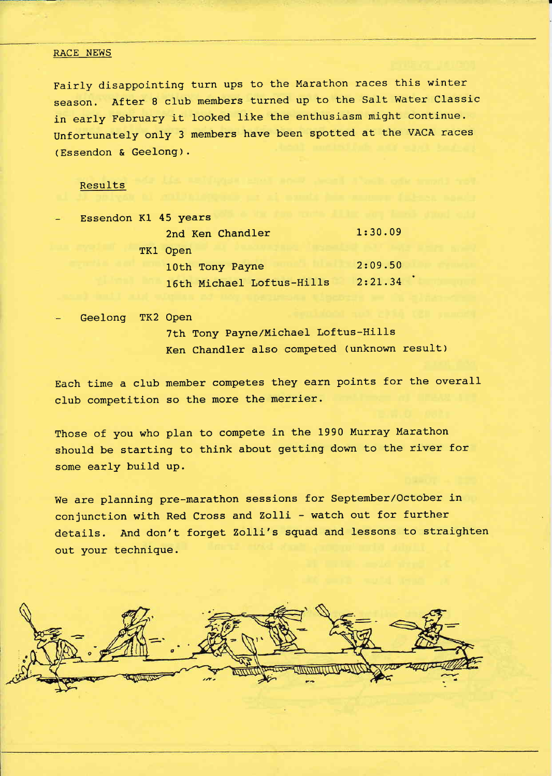#### RACE NEWS

Fairly disappointing turn ups to the Marathon races this winter season. After 8 club members turned up to the Salt Water Classic in early February it Iooked like the enthusiasm might continue. Unfortunately only 3 members have been spotted at the VACA races (Essendon & Geelong).

### Results

| Essendon Kl 45 years |                           |         |
|----------------------|---------------------------|---------|
|                      | 2nd Ken Chandler          | 1:30.09 |
|                      | TK1 Open                  |         |
|                      | 10th Tony Payne           | 2:09.50 |
|                      | 16th Michael Loftus-Hills | 2:21.34 |

Geelong TK2 Open

7th Tony Payne/Michael Loftus-Hills Ken Chandler also competed (unknown result)

Each time a club member competes they earn points for the overall club competition so the more the merrier.

Those of you who plan to compete in the 1990 Murray Marathon should be starting to think about getting down to the river for some early build up.

We are planning pre-marathon sessions for September/October in conjunction with Red Cross and ZoLli - watch out for further details. And don't forget Zolli's squad and lessons to straighten out your technique.

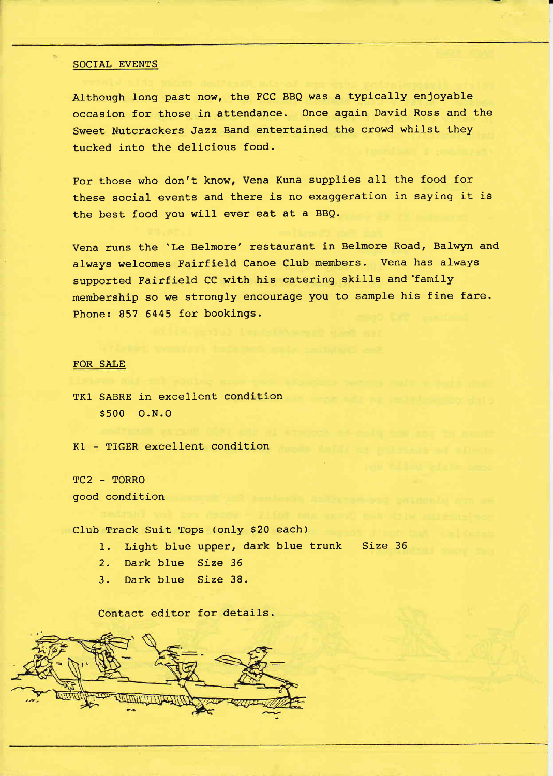#### SOCIAL EVENTS

Although long past now, the FCC BBQ was a typically enjoyable occasion for those in attendance. Once again David Ross and the Sweet Nutcrackers Jazz Band entertained the crowd whilst they tucked into the delicious food.

For those who don't know, Vena Kuna supplies all the food for these social events and there is no exaggeration in saying it is the best food you wiII ever eat at a BBQ.

Vena runs the 'Le Belmore' restaurant in Belmore Road, Balwyn and always welcomes Fairfield Canoe CIub members. Vena has always supported Fairfield CC with his catering skiIls and'family membership so we strongly encourage you to sample his fine fare. Phone: 857 6445 for bookings.

## FOR SAIE

TKl SABRE in excellent condition s500 0.N.o

KI - TIGER excellent condition

TC2 - TORRO good condition

Club Track Suit Tops (only \$20 each)

1. Light blue upper, dark blue trunk Size 36

- 2. Dark blue Size <sup>35</sup>
- 3. Dark blue Size 38.

Contact editor for details.

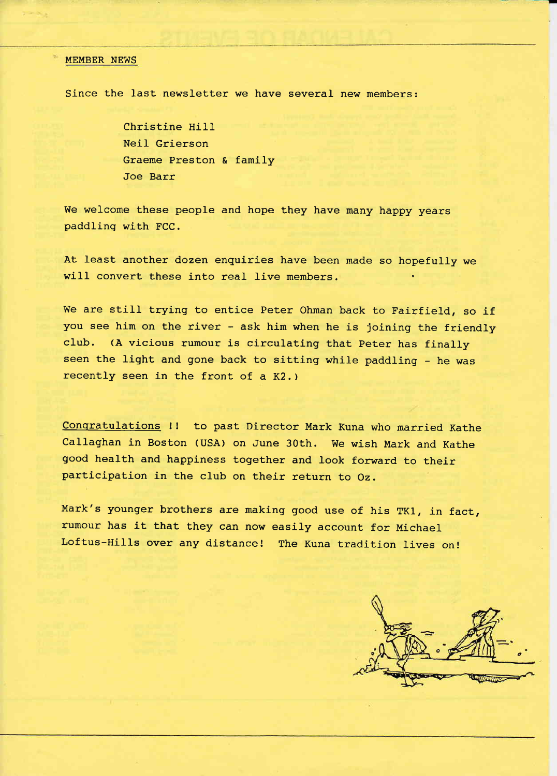#### MEMBER NEWS

Since the last newsletter we have several new members:

Christine Hill NeiI Grierson Graeme Preston & family Joe Barr

We welcome these people and hope they have many happy years paddling with FCC.

At least another dozen enquiries have been made so hopefully we will convert these into real live members.

We are still trying to entice Peter Ohman back to Fairfield, so if you see him on the river - ask him when he is joining the friendly cIub. (A vicious rumour is circulating that peter has finally seen the light and gone back to sitting while paddling - he was recently seen in the front of a K2. )

Conqratulations !! to past Director Mark Kuna who married Kathe callaghan in Boston (usA) on June 3oth. we wish Mark and Kathe good health and happiness together and look forward to their participation in the club on their return to Oz.

Mark's younger brothers are making good use of his TKl, in fact, rumour has it that they can now easily account for Michael Loftus-Hi1ls over any distance! The Kuna tradition 1ives on!